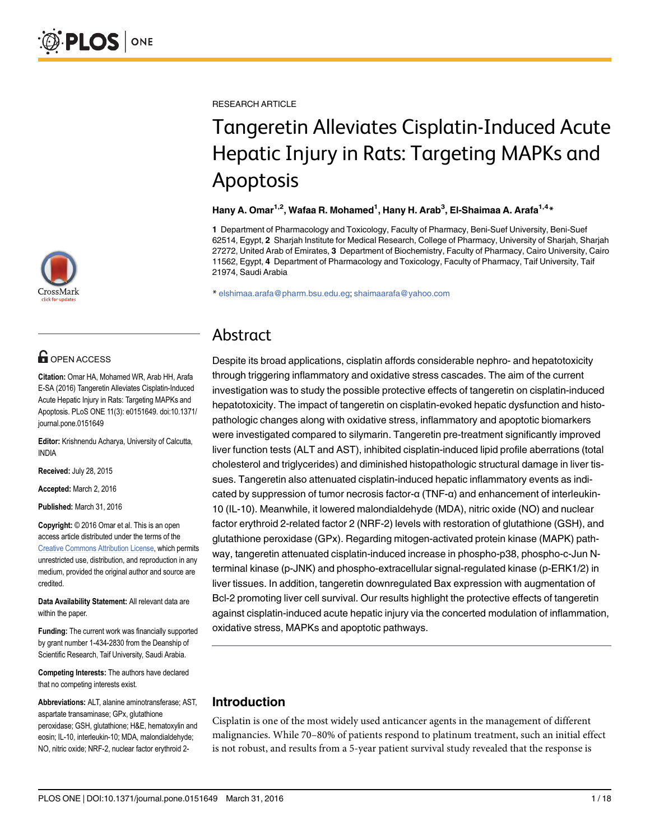

# **G** OPEN ACCESS

Citation: Omar HA, Mohamed WR, Arab HH, Arafa E-SA (2016) Tangeretin Alleviates Cisplatin-Induced Acute Hepatic Injury in Rats: Targeting MAPKs and Apoptosis. PLoS ONE 11(3): e0151649. doi:10.1371/ journal.pone.0151649

Editor: Krishnendu Acharya, University of Calcutta, INDIA

Received: July 28, 2015

Accepted: March 2, 2016

Published: March 31, 2016

Copyright: © 2016 Omar et al. This is an open access article distributed under the terms of the Creative Commons Attribution License, which permits unrestricted use, distribution, and reproduction in any medium, provided the original author and source are credited.

Data Availability Statement: All relevant data are within the paper.

Funding: The current work was financially supported by grant number 1-434-2830 from the Deanship of Scientific Research, Taif University, Saudi Arabia.

Competing Interests: The authors have declared that no competing interests exist.

Abbreviations: ALT, alanine aminotransferase; AST, aspartate transaminase; GPx, glutathione peroxidase; GSH, glutathione; H&E, hematoxylin and eosin; IL-10, interleukin-10; MDA, malondialdehyde; NO, nitric oxide; NRF-2, nuclear factor erythroid 2RESEARCH ARTICLE

# Tangeretin Alleviates Cisplatin-Induced Acute Hepatic Injury in Rats: Targeting MAPKs and Apoptosis

#### Hany A. Omar<sup>1,2</sup>, Wafaa R. Mohamed<sup>1</sup>, Hany H. Arab<sup>3</sup>, El-Shaimaa A. Arafa<sup>1,4</sup>\*

1 Department of Pharmacology and Toxicology, Faculty of Pharmacy, Beni-Suef University, Beni-Suef 62514, Egypt, 2 Sharjah Institute for Medical Research, College of Pharmacy, University of Sharjah, Sharjah 27272, United Arab of Emirates, 3 Department of Biochemistry, Faculty of Pharmacy, Cairo University, Cairo 11562, Egypt, 4 Department of Pharmacology and Toxicology, Faculty of Pharmacy, Taif University, Taif 21974, Saudi Arabia

\* elshimaa.arafa@pharm.bsu.edu.eg; shaimaarafa@yahoo.com

## Abstract

Despite its broad applications, cisplatin affords considerable nephro- and hepatotoxicity through triggering inflammatory and oxidative stress cascades. The aim of the current investigation was to study the possible protective effects of tangeretin on cisplatin-induced hepatotoxicity. The impact of tangeretin on cisplatin-evoked hepatic dysfunction and histopathologic changes along with oxidative stress, inflammatory and apoptotic biomarkers were investigated compared to silymarin. Tangeretin pre-treatment significantly improved liver function tests (ALT and AST), inhibited cisplatin-induced lipid profile aberrations (total cholesterol and triglycerides) and diminished histopathologic structural damage in liver tissues. Tangeretin also attenuated cisplatin-induced hepatic inflammatory events as indicated by suppression of tumor necrosis factor-α (TNF-α) and enhancement of interleukin-10 (IL-10). Meanwhile, it lowered malondialdehyde (MDA), nitric oxide (NO) and nuclear factor erythroid 2-related factor 2 (NRF-2) levels with restoration of glutathione (GSH), and glutathione peroxidase (GPx). Regarding mitogen-activated protein kinase (MAPK) pathway, tangeretin attenuated cisplatin-induced increase in phospho-p38, phospho-c-Jun Nterminal kinase (p-JNK) and phospho-extracellular signal-regulated kinase (p-ERK1/2) in liver tissues. In addition, tangeretin downregulated Bax expression with augmentation of Bcl-2 promoting liver cell survival. Our results highlight the protective effects of tangeretin against cisplatin-induced acute hepatic injury via the concerted modulation of inflammation, oxidative stress, MAPKs and apoptotic pathways.

## Introduction

Cisplatin is one of the most widely used anticancer agents in the management of different malignancies. While 70–80% of patients respond to platinum treatment, such an initial effect is not robust, and results from a 5-year patient survival study revealed that the response is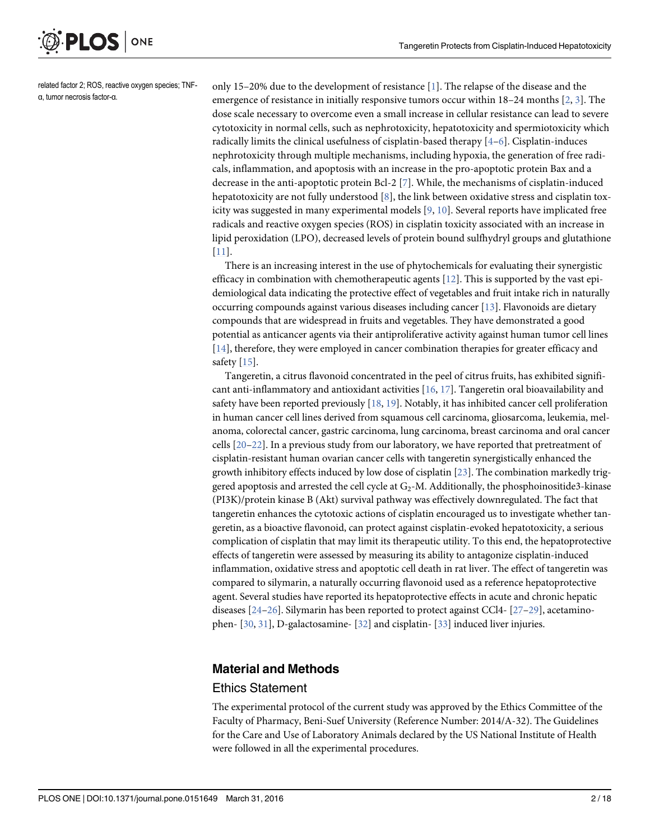

related factor 2; ROS, reactive oxygen species; TNFα, tumor necrosis factor-α.

only 15–20% due to the development of resistance [1]. The relapse of the disease and the emergence of resistance in initially responsive tumors occur within  $18-24$  months  $[2, 3]$ . The dose scale necessary to overcome even a small increase in cellular resistance can lead to severe cytotoxicity in normal cells, such as nephrotoxicity, hepatotoxicity and spermiotoxicity which radically limits the clinical usefulness of cisplatin-based therapy [4–6]. Cisplatin-induces nephrotoxicity through multiple mechanisms, including hypoxia, the generation of free radicals, inflammation, and apoptosis with an increase in the pro-apoptotic protein Bax and a decrease in the anti-apoptotic protein Bcl-2 [7]. While, the mechanisms of cisplatin-induced hepatotoxicity are not fully understood  $[8]$ , the link between oxidative stress and cisplatin toxicity was suggested in many experimental models [9, 10]. Several reports have implicated free radicals and reactive oxygen species (ROS) in cisplatin toxicity associated with an increase in lipid peroxidation (LPO), decreased levels of protein bound sulfhydryl groups and glutathione [11].

There is an increasing interest in the use of phytochemicals for evaluating their synergistic efficacy in combination with chemotherapeutic agents  $[12]$ . This is supported by the vast epidemiological data indicating the protective effect of vegetables and fruit intake rich in naturally occurring compounds against various diseases including cancer [13]. Flavonoids are dietary compounds that are widespread in fruits and vegetables. They have demonstrated a good potential as anticancer agents via their antiproliferative activity against human tumor cell lines [14], therefore, they were employed in cancer combination therapies for greater efficacy and safety  $[15]$ .

Tangeretin, a citrus flavonoid concentrated in the peel of citrus fruits, has exhibited significant anti-inflammatory and antioxidant activities  $[16, 17]$ . Tangeretin oral bioavailability and safety have been reported previously  $[18, 19]$ . Notably, it has inhibited cancer cell proliferation in human cancer cell lines derived from squamous cell carcinoma, gliosarcoma, leukemia, melanoma, colorectal cancer, gastric carcinoma, lung carcinoma, breast carcinoma and oral cancer cells [20–22]. In a previous study from our laboratory, we have reported that pretreatment of cisplatin-resistant human ovarian cancer cells with tangeretin synergistically enhanced the growth inhibitory effects induced by low dose of cisplatin [23]. The combination markedly triggered apoptosis and arrested the cell cycle at  $G_2$ -M. Additionally, the phosphoinositide3-kinase (PI3K)/protein kinase B (Akt) survival pathway was effectively downregulated. The fact that tangeretin enhances the cytotoxic actions of cisplatin encouraged us to investigate whether tangeretin, as a bioactive flavonoid, can protect against cisplatin-evoked hepatotoxicity, a serious complication of cisplatin that may limit its therapeutic utility. To this end, the hepatoprotective effects of tangeretin were assessed by measuring its ability to antagonize cisplatin-induced inflammation, oxidative stress and apoptotic cell death in rat liver. The effect of tangeretin was compared to silymarin, a naturally occurring flavonoid used as a reference hepatoprotective agent. Several studies have reported its hepatoprotective effects in acute and chronic hepatic diseases  $[24-26]$ . Silymarin has been reported to protect against CCl4-  $[27-29]$ , acetaminophen- [30, 31], D-galactosamine- [32] and cisplatin- [33] induced liver injuries.

#### Material and Methods

#### Ethics Statement

The experimental protocol of the current study was approved by the Ethics Committee of the Faculty of Pharmacy, Beni-Suef University (Reference Number: 2014/A-32). The Guidelines for the Care and Use of Laboratory Animals declared by the US National Institute of Health were followed in all the experimental procedures.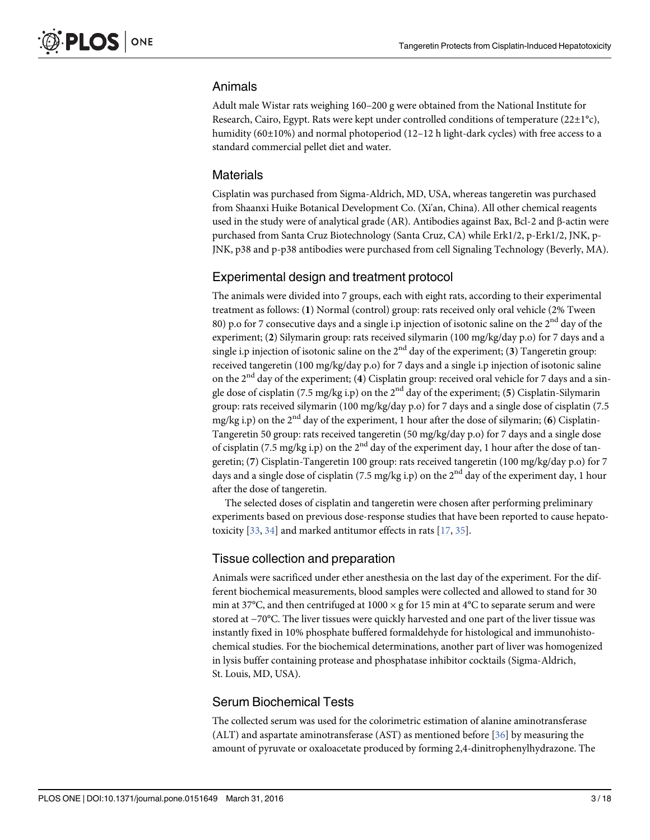#### Animals

Adult male Wistar rats weighing 160–200 g were obtained from the National Institute for Research, Cairo, Egypt. Rats were kept under controlled conditions of temperature ( $22\pm1^{\circ}c$ ), humidity (60±10%) and normal photoperiod (12-12 h light-dark cycles) with free access to a standard commercial pellet diet and water.

#### **Materials**

Cisplatin was purchased from Sigma-Aldrich, MD, USA, whereas tangeretin was purchased from Shaanxi Huike Botanical Development Co. (Xi'an, China). All other chemical reagents used in the study were of analytical grade (AR). Antibodies against Bax, Bcl-2 and β-actin were purchased from Santa Cruz Biotechnology (Santa Cruz, CA) while Erk1/2, p-Erk1/2, JNK, p-JNK, p38 and p-p38 antibodies were purchased from cell Signaling Technology (Beverly, MA).

#### Experimental design and treatment protocol

The animals were divided into 7 groups, each with eight rats, according to their experimental treatment as follows: (1) Normal (control) group: rats received only oral vehicle (2% Tween 80) p.o for 7 consecutive days and a single i.p injection of isotonic saline on the 2<sup>nd</sup> day of the experiment; (2) Silymarin group: rats received silymarin (100 mg/kg/day p.o) for 7 days and a single i.p injection of isotonic saline on the  $2<sup>nd</sup>$  day of the experiment; (3) Tangeretin group: received tangeretin (100 mg/kg/day p.o) for 7 days and a single i.p injection of isotonic saline on the  $2<sup>nd</sup>$  day of the experiment; (4) Cisplatin group: received oral vehicle for 7 days and a single dose of cisplatin (7.5 mg/kg i.p) on the  $2<sup>nd</sup>$  day of the experiment; (5) Cisplatin-Silymarin group: rats received silymarin (100 mg/kg/day p.o) for 7 days and a single dose of cisplatin (7.5 mg/kg i.p) on the  $2<sup>nd</sup>$  day of the experiment, 1 hour after the dose of silymarin; (6) Cisplatin-Tangeretin 50 group: rats received tangeretin (50 mg/kg/day p.o) for 7 days and a single dose of cisplatin (7.5 mg/kg i.p) on the  $2<sup>nd</sup>$  day of the experiment day, 1 hour after the dose of tangeretin; (7) Cisplatin-Tangeretin 100 group: rats received tangeretin (100 mg/kg/day p.o) for 7 days and a single dose of cisplatin (7.5 mg/kg i.p) on the  $2<sup>nd</sup>$  day of the experiment day, 1 hour after the dose of tangeretin.

The selected doses of cisplatin and tangeretin were chosen after performing preliminary experiments based on previous dose-response studies that have been reported to cause hepatotoxicity  $[33, 34]$  and marked antitumor effects in rats  $[17, 35]$ .

#### Tissue collection and preparation

Animals were sacrificed under ether anesthesia on the last day of the experiment. For the different biochemical measurements, blood samples were collected and allowed to stand for 30 min at 37°C, and then centrifuged at 1000  $\times$  g for 15 min at 4°C to separate serum and were stored at −70°C. The liver tissues were quickly harvested and one part of the liver tissue was instantly fixed in 10% phosphate buffered formaldehyde for histological and immunohistochemical studies. For the biochemical determinations, another part of liver was homogenized in lysis buffer containing protease and phosphatase inhibitor cocktails (Sigma-Aldrich, St. Louis, MD, USA).

#### Serum Biochemical Tests

The collected serum was used for the colorimetric estimation of alanine aminotransferase (ALT) and aspartate aminotransferase (AST) as mentioned before [36] by measuring the amount of pyruvate or oxaloacetate produced by forming 2,4-dinitrophenylhydrazone. The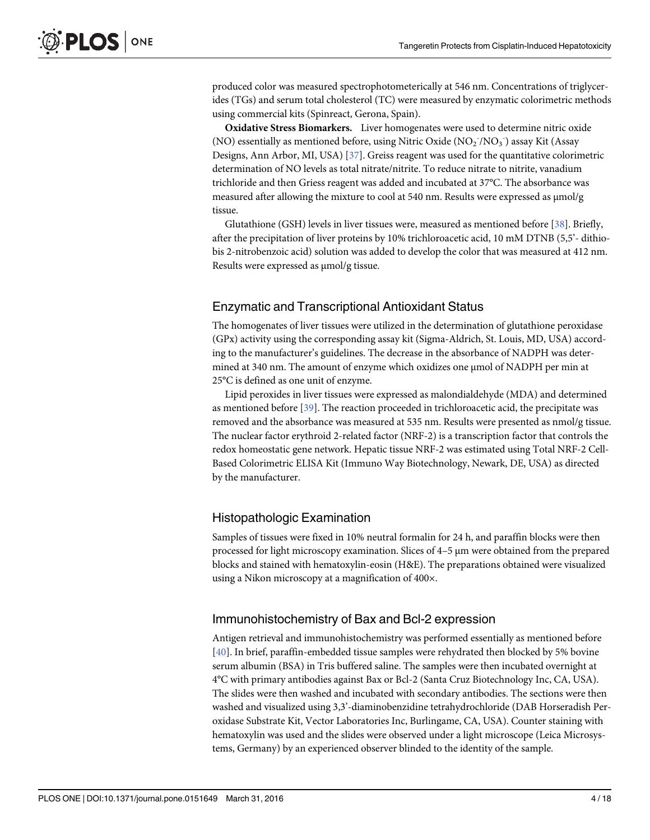produced color was measured spectrophotometerically at 546 nm. Concentrations of triglycerides (TGs) and serum total cholesterol (TC) were measured by enzymatic colorimetric methods using commercial kits (Spinreact, Gerona, Spain).

Oxidative Stress Biomarkers. Liver homogenates were used to determine nitric oxide (NO) essentially as mentioned before, using Nitric Oxide  $(\text{NO}_2^-/\text{NO}_3^-)$  assay Kit (Assay Designs, Ann Arbor, MI, USA) [37]. Greiss reagent was used for the quantitative colorimetric determination of NO levels as total nitrate/nitrite. To reduce nitrate to nitrite, vanadium trichloride and then Griess reagent was added and incubated at 37°C. The absorbance was measured after allowing the mixture to cool at 540 nm. Results were expressed as μmol/g tissue.

Glutathione (GSH) levels in liver tissues were, measured as mentioned before [38]. Briefly, after the precipitation of liver proteins by 10% trichloroacetic acid, 10 mM DTNB (5,5'- dithiobis 2-nitrobenzoic acid) solution was added to develop the color that was measured at 412 nm. Results were expressed as μmol/g tissue.

#### Enzymatic and Transcriptional Antioxidant Status

The homogenates of liver tissues were utilized in the determination of glutathione peroxidase (GPx) activity using the corresponding assay kit (Sigma-Aldrich, St. Louis, MD, USA) according to the manufacturer's guidelines. The decrease in the absorbance of NADPH was determined at 340 nm. The amount of enzyme which oxidizes one μmol of NADPH per min at 25°C is defined as one unit of enzyme.

Lipid peroxides in liver tissues were expressed as malondialdehyde (MDA) and determined as mentioned before [39]. The reaction proceeded in trichloroacetic acid, the precipitate was removed and the absorbance was measured at 535 nm. Results were presented as nmol/g tissue. The nuclear factor erythroid 2-related factor (NRF-2) is a transcription factor that controls the redox homeostatic gene network. Hepatic tissue NRF-2 was estimated using Total NRF-2 Cell-Based Colorimetric ELISA Kit (Immuno Way Biotechnology, Newark, DE, USA) as directed by the manufacturer.

#### Histopathologic Examination

Samples of tissues were fixed in 10% neutral formalin for 24 h, and paraffin blocks were then processed for light microscopy examination. Slices of 4–5 μm were obtained from the prepared blocks and stained with hematoxylin-eosin (H&E). The preparations obtained were visualized using a Nikon microscopy at a magnification of 400×.

#### Immunohistochemistry of Bax and Bcl-2 expression

Antigen retrieval and immunohistochemistry was performed essentially as mentioned before [40]. In brief, paraffin-embedded tissue samples were rehydrated then blocked by 5% bovine serum albumin (BSA) in Tris buffered saline. The samples were then incubated overnight at 4°C with primary antibodies against Bax or Bcl-2 (Santa Cruz Biotechnology Inc, CA, USA). The slides were then washed and incubated with secondary antibodies. The sections were then washed and visualized using 3,3'-diaminobenzidine tetrahydrochloride (DAB Horseradish Peroxidase Substrate Kit, Vector Laboratories Inc, Burlingame, CA, USA). Counter staining with hematoxylin was used and the slides were observed under a light microscope (Leica Microsystems, Germany) by an experienced observer blinded to the identity of the sample.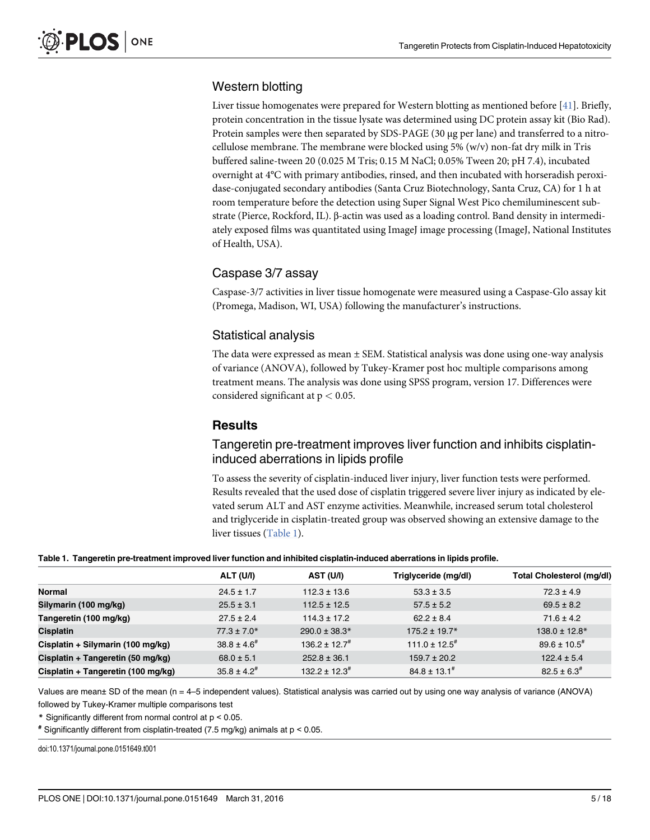#### Western blotting

Liver tissue homogenates were prepared for Western blotting as mentioned before [41]. Briefly, protein concentration in the tissue lysate was determined using DC protein assay kit (Bio Rad). Protein samples were then separated by SDS-PAGE (30 μg per lane) and transferred to a nitrocellulose membrane. The membrane were blocked using 5% (w/v) non-fat dry milk in Tris buffered saline-tween 20 (0.025 M Tris; 0.15 M NaCl; 0.05% Tween 20; pH 7.4), incubated overnight at 4°C with primary antibodies, rinsed, and then incubated with horseradish peroxidase-conjugated secondary antibodies (Santa Cruz Biotechnology, Santa Cruz, CA) for 1 h at room temperature before the detection using Super Signal West Pico chemiluminescent substrate (Pierce, Rockford, IL). β-actin was used as a loading control. Band density in intermediately exposed films was quantitated using ImageJ image processing (ImageJ, National Institutes of Health, USA).

#### Caspase 3/7 assay

Caspase-3/7 activities in liver tissue homogenate were measured using a Caspase-Glo assay kit (Promega, Madison, WI, USA) following the manufacturer's instructions.

#### Statistical analysis

The data were expressed as mean  $\pm$  SEM. Statistical analysis was done using one-way analysis of variance (ANOVA), followed by Tukey-Kramer post hoc multiple comparisons among treatment means. The analysis was done using SPSS program, version 17. Differences were considered significant at  $p < 0.05$ .

#### **Results**

#### Tangeretin pre-treatment improves liver function and inhibits cisplatininduced aberrations in lipids profile

To assess the severity of cisplatin-induced liver injury, liver function tests were performed. Results revealed that the used dose of cisplatin triggered severe liver injury as indicated by elevated serum ALT and AST enzyme activities. Meanwhile, increased serum total cholesterol and triglyceride in cisplatin-treated group was observed showing an extensive damage to the liver tissues (Table 1).

#### Table 1. Tangeretin pre-treatment improved liver function and inhibited cisplatin-induced aberrations in lipids profile.

|                                    | <b>ALT (U/I)</b>    | <b>AST (U/I)</b>      | Triglyceride (mg/dl)        | <b>Total Cholesterol (mg/dl)</b> |
|------------------------------------|---------------------|-----------------------|-----------------------------|----------------------------------|
| Normal                             | $24.5 \pm 1.7$      | $112.3 \pm 13.6$      | $53.3 \pm 3.5$              | $72.3 \pm 4.9$                   |
| Silymarin (100 mg/kg)              | $25.5 \pm 3.1$      | $112.5 \pm 12.5$      | $57.5 \pm 5.2$              | $69.5 \pm 8.2$                   |
| Tangeretin (100 mg/kg)             | $27.5 \pm 2.4$      | $114.3 \pm 17.2$      | $62.2 \pm 8.4$              | $71.6 \pm 4.2$                   |
| <b>Cisplatin</b>                   | $77.3 \pm 7.0*$     | $290.0 \pm 38.3*$     | $175.2 \pm 19.7*$           | $138.0 \pm 12.8*$                |
| Cisplatin + Silymarin (100 mg/kg)  | $38.8 \pm 4.6^{\#}$ | $136.2 \pm 12.7^{\#}$ | $111.0 \pm 12.5^{\text{*}}$ | $89.6 \pm 10.5^{\text{*}}$       |
| Cisplatin + Tangeretin (50 mg/kg)  | $68.0 \pm 5.1$      | $252.8 \pm 36.1$      | $159.7 \pm 20.2$            | $122.4 \pm 5.4$                  |
| Cisplatin + Tangeretin (100 mg/kg) | $35.8 \pm 4.2^{\#}$ | $132.2 \pm 12.3^{\#}$ | $84.8 \pm 13.1^{\#}$        | $82.5 \pm 6.3^{\#}$              |

Values are mean± SD of the mean (n = 4–5 independent values). Statistical analysis was carried out by using one way analysis of variance (ANOVA) followed by Tukey-Kramer multiple comparisons test

\* Significantly different from normal control at p < 0.05.

# Significantly different from cisplatin-treated (7.5 mg/kg) animals at p < 0.05.

doi:10.1371/journal.pone.0151649.t001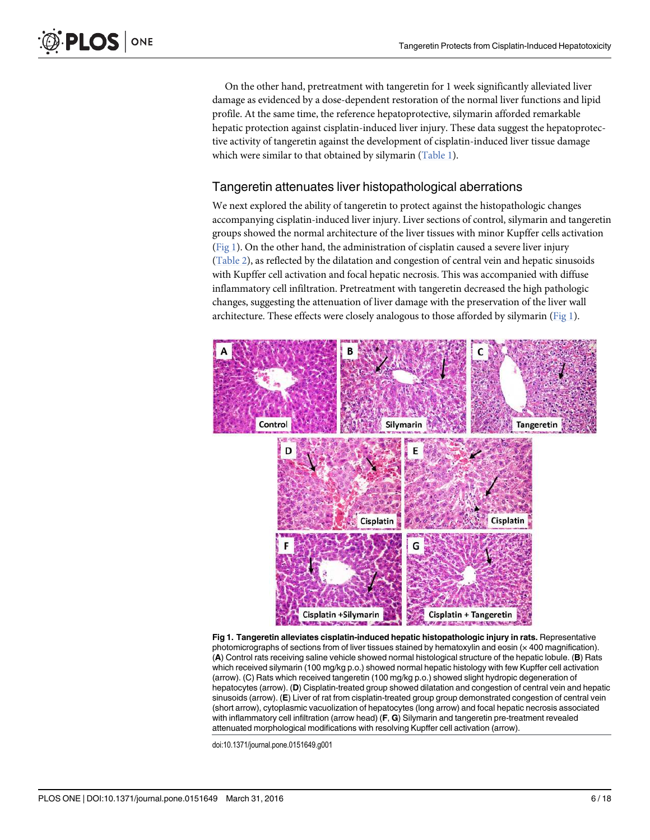On the other hand, pretreatment with tangeretin for 1 week significantly alleviated liver damage as evidenced by a dose-dependent restoration of the normal liver functions and lipid profile. At the same time, the reference hepatoprotective, silymarin afforded remarkable hepatic protection against cisplatin-induced liver injury. These data suggest the hepatoprotective activity of tangeretin against the development of cisplatin-induced liver tissue damage which were similar to that obtained by silymarin (Table 1).

#### Tangeretin attenuates liver histopathological aberrations

We next explored the ability of tangeretin to protect against the histopathologic changes accompanying cisplatin-induced liver injury. Liver sections of control, silymarin and tangeretin groups showed the normal architecture of the liver tissues with minor Kupffer cells activation  $(Fig 1)$ . On the other hand, the administration of cisplatin caused a severe liver injury (Table 2), as reflected by the dilatation and congestion of central vein and hepatic sinusoids with Kupffer cell activation and focal hepatic necrosis. This was accompanied with diffuse inflammatory cell infiltration. Pretreatment with tangeretin decreased the high pathologic changes, suggesting the attenuation of liver damage with the preservation of the liver wall architecture. These effects were closely analogous to those afforded by silymarin (Fig 1).



Fig 1. Tangeretin alleviates cisplatin-induced hepatic histopathologic injury in rats. Representative photomicrographs of sections from of liver tissues stained by hematoxylin and eosin (x 400 magnification). (A) Control rats receiving saline vehicle showed normal histological structure of the hepatic lobule. (B) Rats which received silymarin (100 mg/kg p.o.) showed normal hepatic histology with few Kupffer cell activation (arrow). (C) Rats which received tangeretin (100 mg/kg p.o.) showed slight hydropic degeneration of hepatocytes (arrow). (D) Cisplatin-treated group showed dilatation and congestion of central vein and hepatic sinusoids (arrow). (E) Liver of rat from cisplatin-treated group group demonstrated congestion of central vein (short arrow), cytoplasmic vacuolization of hepatocytes (long arrow) and focal hepatic necrosis associated with inflammatory cell infiltration (arrow head) (F, G) Silymarin and tangeretin pre-treatment revealed attenuated morphological modifications with resolving Kupffer cell activation (arrow).

doi:10.1371/journal.pone.0151649.g001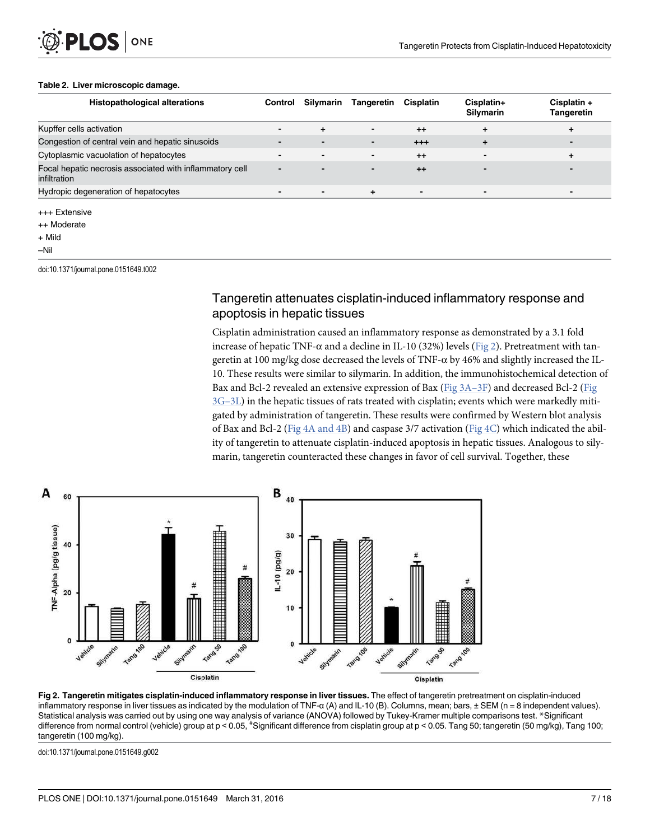#### Table 2. Liver microscopic damage.

LOS

ONE

| <b>Histopathological alterations</b>                                     | Control                  | Silymarin                | <b>Tangeretin</b>        | <b>Cisplatin</b> | Cisplatin+<br>Silymarin  | Cisplatin +<br>Tangeretin |
|--------------------------------------------------------------------------|--------------------------|--------------------------|--------------------------|------------------|--------------------------|---------------------------|
| Kupffer cells activation                                                 | $\blacksquare$           | ÷.                       | $\overline{\phantom{a}}$ | $++$             | ÷                        | ÷                         |
| Congestion of central vein and hepatic sinusoids                         | -                        |                          | $\blacksquare$           | $+ + +$          | ÷                        | $\overline{\phantom{0}}$  |
| Cytoplasmic vacuolation of hepatocytes                                   | -                        | $\overline{\phantom{0}}$ | $\overline{\phantom{a}}$ | $++$             | $\blacksquare$           | ÷                         |
| Focal hepatic necrosis associated with inflammatory cell<br>infiltration | -                        |                          | $\overline{\phantom{0}}$ | $++$             |                          | -                         |
| Hydropic degeneration of hepatocytes                                     | $\overline{\phantom{0}}$ | $\blacksquare$           | ÷                        | $\blacksquare$   | $\overline{\phantom{0}}$ | $\blacksquare$            |
| +++ Extensive                                                            |                          |                          |                          |                  |                          |                           |

++ Moderate

+ Mild

–Nil

doi:10.1371/journal.pone.0151649.t002

#### Tangeretin attenuates cisplatin-induced inflammatory response and apoptosis in hepatic tissues

Cisplatin administration caused an inflammatory response as demonstrated by a 3.1 fold increase of hepatic TNF- $\alpha$  and a decline in IL-10 (32%) levels (Fig 2). Pretreatment with tangeretin at 100 mg/kg dose decreased the levels of TNF-α by 46% and slightly increased the IL-10. These results were similar to silymarin. In addition, the immunohistochemical detection of Bax and Bcl-2 revealed an extensive expression of Bax (Fig 3A–3F) and decreased Bcl-2 (Fig  $3G-3L$ ) in the hepatic tissues of rats treated with cisplatin; events which were markedly mitigated by administration of tangeretin. These results were confirmed by Western blot analysis of Bax and Bcl-2 (Fig 4A and 4B) and caspase 3/7 activation (Fig 4C) which indicated the ability of tangeretin to attenuate cisplatin-induced apoptosis in hepatic tissues. Analogous to silymarin, tangeretin counteracted these changes in favor of cell survival. Together, these



Fig 2. Tangeretin mitigates cisplatin-induced inflammatory response in liver tissues. The effect of tangeretin pretreatment on cisplatin-induced inflammatory response in liver tissues as indicated by the modulation of TNF-α (A) and IL-10 (B). Columns, mean; bars, ± SEM (n = 8 independent values). Statistical analysis was carried out by using one way analysis of variance (ANOVA) followed by Tukey-Kramer multiple comparisons test. \*Significant difference from normal control (vehicle) group at p < 0.05, "Significant difference from cisplatin group at p < 0.05. Tang 50; tangeretin (50 mg/kg), Tang 100; tangeretin (100 mg/kg).

doi:10.1371/journal.pone.0151649.g002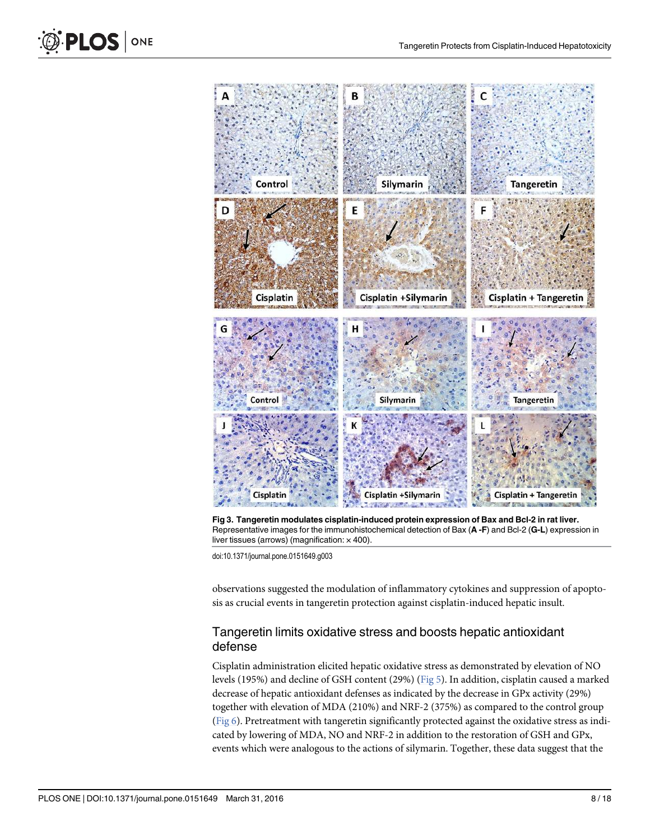

Fig 3. Tangeretin modulates cisplatin-induced protein expression of Bax and Bcl-2 in rat liver. Representative images for the immunohistochemical detection of Bax (A -F) and Bcl-2 (G-L) expression in liver tissues (arrows) (magnification:  $\times$  400).

doi:10.1371/journal.pone.0151649.g003

observations suggested the modulation of inflammatory cytokines and suppression of apoptosis as crucial events in tangeretin protection against cisplatin-induced hepatic insult.

### Tangeretin limits oxidative stress and boosts hepatic antioxidant defense

Cisplatin administration elicited hepatic oxidative stress as demonstrated by elevation of NO levels (195%) and decline of GSH content (29%) (Fig 5). In addition, cisplatin caused a marked decrease of hepatic antioxidant defenses as indicated by the decrease in GPx activity (29%) together with elevation of MDA (210%) and NRF-2 (375%) as compared to the control group (Fig 6). Pretreatment with tangeretin significantly protected against the oxidative stress as indicated by lowering of MDA, NO and NRF-2 in addition to the restoration of GSH and GPx, events which were analogous to the actions of silymarin. Together, these data suggest that the

**D** PLOS ONE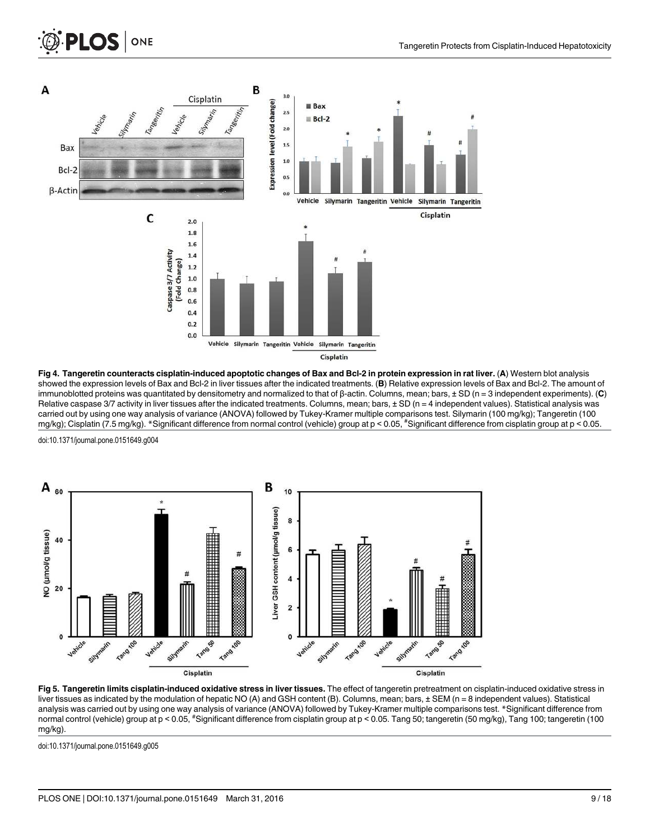

Fig 4. Tangeretin counteracts cisplatin-induced apoptotic changes of Bax and Bcl-2 in protein expression in rat liver. (A) Western blot analysis showed the expression levels of Bax and Bcl-2 in liver tissues after the indicated treatments. (B) Relative expression levels of Bax and Bcl-2. The amount of immunoblotted proteins was quantitated by densitometry and normalized to that of β-actin. Columns, mean; bars,  $\pm$  SD (n = 3 independent experiments). (C) Relative caspase  $3/7$  activity in liver tissues after the indicated treatments. Columns, mean; bars,  $\pm$  SD (n = 4 independent values). Statistical analysis was carried out by using one way analysis of variance (ANOVA) followed by Tukey-Kramer multiple comparisons test. Silymarin (100 mg/kg); Tangeretin (100 mg/kg); Cisplatin (7.5 mg/kg). \*Significant difference from normal control (vehicle) group at p < 0.05, #Significant difference from cisplatin group at p < 0.05.

doi:10.1371/journal.pone.0151649.g004

**PLOS I** 

ONE



Fig 5. Tangeretin limits cisplatin-induced oxidative stress in liver tissues. The effect of tangeretin pretreatment on cisplatin-induced oxidative stress in liver tissues as indicated by the modulation of hepatic NO (A) and GSH content (B). Columns, mean; bars, ± SEM (n = 8 independent values). Statistical analysis was carried out by using one way analysis of variance (ANOVA) followed by Tukey-Kramer multiple comparisons test. \*Significant difference from normal control (vehicle) group at p < 0.05, #Significant difference from cisplatin group at p < 0.05. Tang 50; tangeretin (50 mg/kg), Tang 100; tangeretin (100 mg/kg).

doi:10.1371/journal.pone.0151649.g005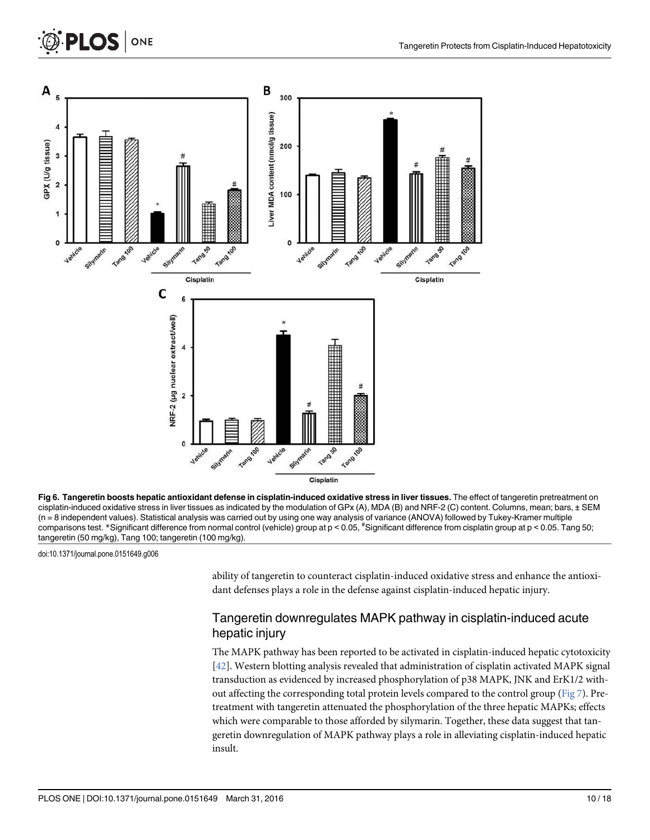



doi:10.1371/journal.pone.0151649.g006

ability of tangeretin to counteract cisplatin-induced oxidative stress and enhance the antioxidant defenses plays a role in the defense against cisplatin-induced hepatic injury.

#### Tangeretin downregulates MAPK pathway in cisplatin-induced acute hepatic injury

The MAPK pathway has been reported to be activated in cisplatin-induced hepatic cytotoxicity [42]. Western blotting analysis revealed that administration of cisplatin activated MAPK signal transduction as evidenced by increased phosphorylation of p38 MAPK, JNK and ErK1/2 without affecting the corresponding total protein levels compared to the control group (Fig 7). Pretreatment with tangeretin attenuated the phosphorylation of the three hepatic MAPKs; effects which were comparable to those afforded by silymarin. Together, these data suggest that tangeretin downregulation of MAPK pathway plays a role in alleviating cisplatin-induced hepatic insult.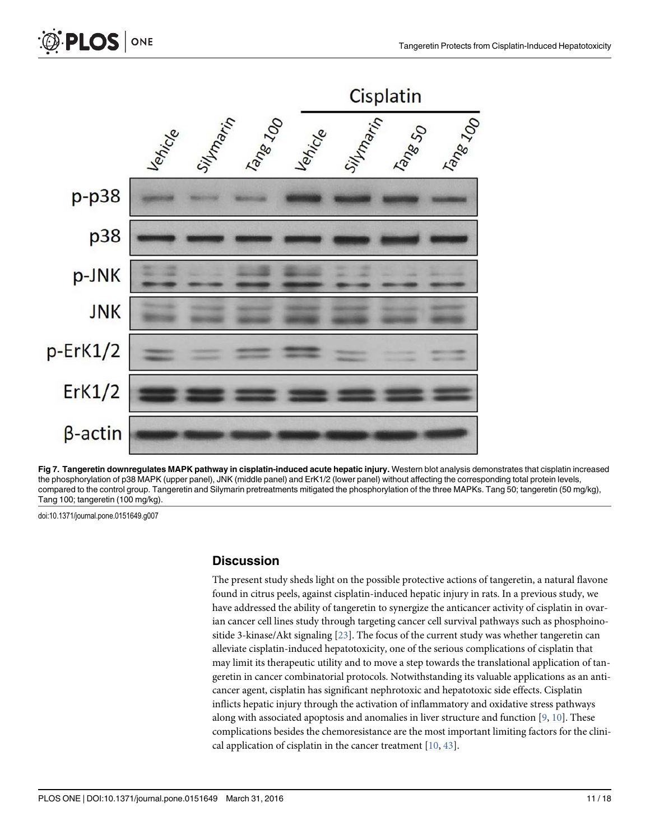



Fig 7. Tangeretin downregulates MAPK pathway in cisplatin-induced acute hepatic injury. Western blot analysis demonstrates that cisplatin increased the phosphorylation of p38 MAPK (upper panel), JNK (middle panel) and ErK1/2 (lower panel) without affecting the corresponding total protein levels, compared to the control group. Tangeretin and Silymarin pretreatments mitigated the phosphorylation of the three MAPKs. Tang 50; tangeretin (50 mg/kg), Tang 100; tangeretin (100 mg/kg).

doi:10.1371/journal.pone.0151649.g007

#### **Discussion**

The present study sheds light on the possible protective actions of tangeretin, a natural flavone found in citrus peels, against cisplatin-induced hepatic injury in rats. In a previous study, we have addressed the ability of tangeretin to synergize the anticancer activity of cisplatin in ovarian cancer cell lines study through targeting cancer cell survival pathways such as phosphoinositide 3-kinase/Akt signaling  $[23]$ . The focus of the current study was whether tangeretin can alleviate cisplatin-induced hepatotoxicity, one of the serious complications of cisplatin that may limit its therapeutic utility and to move a step towards the translational application of tangeretin in cancer combinatorial protocols. Notwithstanding its valuable applications as an anticancer agent, cisplatin has significant nephrotoxic and hepatotoxic side effects. Cisplatin inflicts hepatic injury through the activation of inflammatory and oxidative stress pathways along with associated apoptosis and anomalies in liver structure and function [9, 10]. These complications besides the chemoresistance are the most important limiting factors for the clinical application of cisplatin in the cancer treatment  $[10, 43]$ .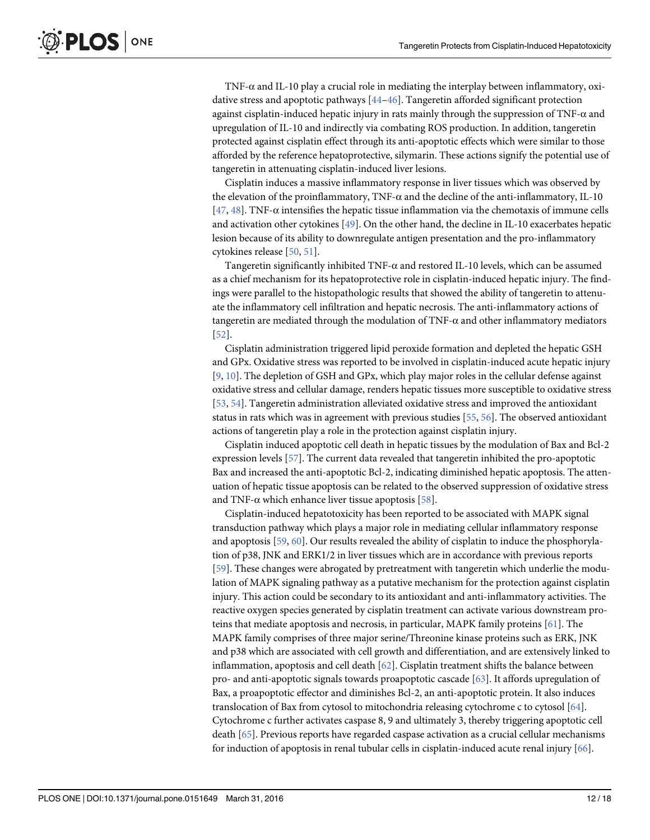TNF-α and IL-10 play a crucial role in mediating the interplay between inflammatory, oxidative stress and apoptotic pathways [44–46]. Tangeretin afforded significant protection against cisplatin-induced hepatic injury in rats mainly through the suppression of TNF-α and upregulation of IL-10 and indirectly via combating ROS production. In addition, tangeretin protected against cisplatin effect through its anti-apoptotic effects which were similar to those afforded by the reference hepatoprotective, silymarin. These actions signify the potential use of tangeretin in attenuating cisplatin-induced liver lesions.

Cisplatin induces a massive inflammatory response in liver tissues which was observed by the elevation of the proinflammatory, TNF-α and the decline of the anti-inflammatory, IL-10 [ $47, 48$ ]. TNF- $\alpha$  intensifies the hepatic tissue inflammation via the chemotaxis of immune cells and activation other cytokines [49]. On the other hand, the decline in IL-10 exacerbates hepatic lesion because of its ability to downregulate antigen presentation and the pro-inflammatory cytokines release [50, 51].

Tangeretin significantly inhibited TNF- $\alpha$  and restored IL-10 levels, which can be assumed as a chief mechanism for its hepatoprotective role in cisplatin-induced hepatic injury. The findings were parallel to the histopathologic results that showed the ability of tangeretin to attenuate the inflammatory cell infiltration and hepatic necrosis. The anti-inflammatory actions of tangeretin are mediated through the modulation of  $TNF-\alpha$  and other inflammatory mediators [52].

Cisplatin administration triggered lipid peroxide formation and depleted the hepatic GSH and GPx. Oxidative stress was reported to be involved in cisplatin-induced acute hepatic injury [9, 10]. The depletion of GSH and GPx, which play major roles in the cellular defense against oxidative stress and cellular damage, renders hepatic tissues more susceptible to oxidative stress [53, 54]. Tangeretin administration alleviated oxidative stress and improved the antioxidant status in rats which was in agreement with previous studies [55, 56]. The observed antioxidant actions of tangeretin play a role in the protection against cisplatin injury.

Cisplatin induced apoptotic cell death in hepatic tissues by the modulation of Bax and Bcl-2 expression levels [57]. The current data revealed that tangeretin inhibited the pro-apoptotic Bax and increased the anti-apoptotic Bcl-2, indicating diminished hepatic apoptosis. The attenuation of hepatic tissue apoptosis can be related to the observed suppression of oxidative stress and TNF- $\alpha$  which enhance liver tissue apoptosis [58].

Cisplatin-induced hepatotoxicity has been reported to be associated with MAPK signal transduction pathway which plays a major role in mediating cellular inflammatory response and apoptosis [59, 60]. Our results revealed the ability of cisplatin to induce the phosphorylation of p38, JNK and ERK1/2 in liver tissues which are in accordance with previous reports [59]. These changes were abrogated by pretreatment with tangeretin which underlie the modulation of MAPK signaling pathway as a putative mechanism for the protection against cisplatin injury. This action could be secondary to its antioxidant and anti-inflammatory activities. The reactive oxygen species generated by cisplatin treatment can activate various downstream proteins that mediate apoptosis and necrosis, in particular, MAPK family proteins [61]. The MAPK family comprises of three major serine/Threonine kinase proteins such as ERK, JNK and p38 which are associated with cell growth and differentiation, and are extensively linked to inflammation, apoptosis and cell death  $[62]$ . Cisplatin treatment shifts the balance between pro- and anti-apoptotic signals towards proapoptotic cascade [63]. It affords upregulation of Bax, a proapoptotic effector and diminishes Bcl-2, an anti-apoptotic protein. It also induces translocation of Bax from cytosol to mitochondria releasing cytochrome c to cytosol [64]. Cytochrome c further activates caspase 8, 9 and ultimately 3, thereby triggering apoptotic cell death [65]. Previous reports have regarded caspase activation as a crucial cellular mechanisms for induction of apoptosis in renal tubular cells in cisplatin-induced acute renal injury [66].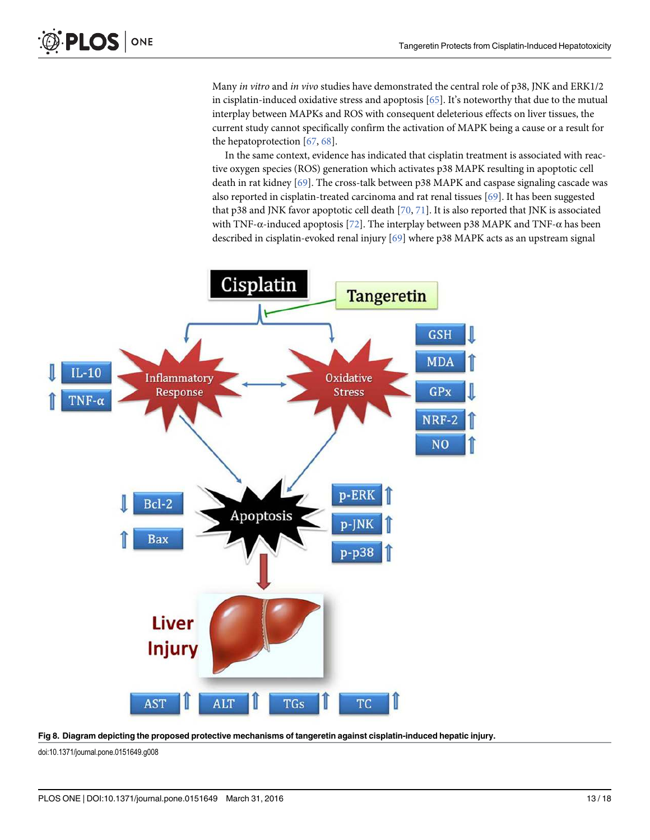Many in vitro and in vivo studies have demonstrated the central role of p38, JNK and ERK1/2 in cisplatin-induced oxidative stress and apoptosis [65]. It's noteworthy that due to the mutual interplay between MAPKs and ROS with consequent deleterious effects on liver tissues, the current study cannot specifically confirm the activation of MAPK being a cause or a result for the hepatoprotection [67, 68].

In the same context, evidence has indicated that cisplatin treatment is associated with reactive oxygen species (ROS) generation which activates p38 MAPK resulting in apoptotic cell death in rat kidney [69]. The cross-talk between p38 MAPK and caspase signaling cascade was also reported in cisplatin-treated carcinoma and rat renal tissues [69]. It has been suggested that p38 and JNK favor apoptotic cell death [70, 71]. It is also reported that JNK is associated with TNF- $\alpha$ -induced apoptosis [72]. The interplay between p38 MAPK and TNF- $\alpha$  has been described in cisplatin-evoked renal injury [69] where p38 MAPK acts as an upstream signal



Fig 8. Diagram depicting the proposed protective mechanisms of tangeretin against cisplatin-induced hepatic injury.

doi:10.1371/journal.pone.0151649.g008

**PLOS** ONE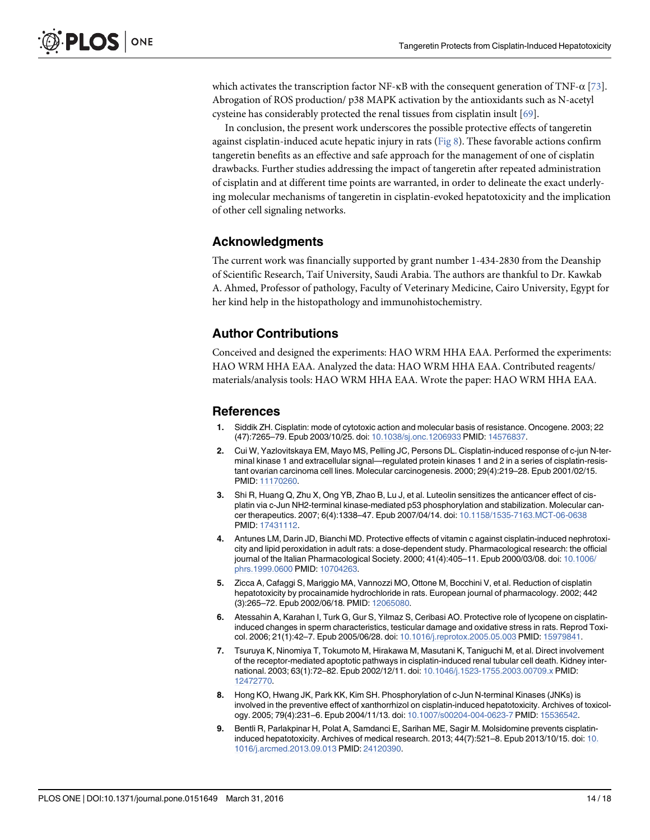which activates the transcription factor NF- $\kappa$ B with the consequent generation of TNF- $\alpha$  [73]. Abrogation of ROS production/ p38 MAPK activation by the antioxidants such as N-acetyl cysteine has considerably protected the renal tissues from cisplatin insult [69].

In conclusion, the present work underscores the possible protective effects of tangeretin against cisplatin-induced acute hepatic injury in rats (Fig 8). These favorable actions confirm tangeretin benefits as an effective and safe approach for the management of one of cisplatin drawbacks. Further studies addressing the impact of tangeretin after repeated administration of cisplatin and at different time points are warranted, in order to delineate the exact underlying molecular mechanisms of tangeretin in cisplatin-evoked hepatotoxicity and the implication of other cell signaling networks.

#### Acknowledgments

The current work was financially supported by grant number 1-434-2830 from the Deanship of Scientific Research, Taif University, Saudi Arabia. The authors are thankful to Dr. Kawkab A. Ahmed, Professor of pathology, Faculty of Veterinary Medicine, Cairo University, Egypt for her kind help in the histopathology and immunohistochemistry.

#### Author Contributions

Conceived and designed the experiments: HAO WRM HHA EAA. Performed the experiments: HAO WRM HHA EAA. Analyzed the data: HAO WRM HHA EAA. Contributed reagents/ materials/analysis tools: HAO WRM HHA EAA. Wrote the paper: HAO WRM HHA EAA.

#### References

- 1. Siddik ZH. Cisplatin: mode of cytotoxic action and molecular basis of resistance. Oncogene. 2003; 22 (47):7265–79. Epub 2003/10/25. doi: 10.1038/sj.onc.1206933 PMID: 14576837.
- 2. Cui W, Yazlovitskaya EM, Mayo MS, Pelling JC, Persons DL. Cisplatin-induced response of c-jun N-terminal kinase 1 and extracellular signal—regulated protein kinases 1 and 2 in a series of cisplatin-resistant ovarian carcinoma cell lines. Molecular carcinogenesis. 2000; 29(4):219–28. Epub 2001/02/15. PMID: 11170260.
- 3. Shi R, Huang Q, Zhu X, Ong YB, Zhao B, Lu J, et al. Luteolin sensitizes the anticancer effect of cisplatin via c-Jun NH2-terminal kinase-mediated p53 phosphorylation and stabilization. Molecular cancer therapeutics. 2007; 6(4):1338–47. Epub 2007/04/14. doi: 10.1158/1535-7163.MCT-06-0638 PMID: 17431112.
- 4. Antunes LM, Darin JD, Bianchi MD. Protective effects of vitamin c against cisplatin-induced nephrotoxicity and lipid peroxidation in adult rats: a dose-dependent study. Pharmacological research: the official journal of the Italian Pharmacological Society. 2000; 41(4):405-11. Epub 2000/03/08. doi: 10.1006/ phrs.1999.0600 PMID: 10704263.
- 5. Zicca A, Cafaggi S, Mariggio MA, Vannozzi MO, Ottone M, Bocchini V, et al. Reduction of cisplatin hepatotoxicity by procainamide hydrochloride in rats. European journal of pharmacology. 2002; 442 (3):265–72. Epub 2002/06/18. PMID: 12065080.
- 6. Atessahin A, Karahan I, Turk G, Gur S, Yilmaz S, Ceribasi AO. Protective role of lycopene on cisplatininduced changes in sperm characteristics, testicular damage and oxidative stress in rats. Reprod Toxicol. 2006; 21(1):42–7. Epub 2005/06/28. doi: 10.1016/j.reprotox.2005.05.003 PMID: 15979841.
- 7. Tsuruya K, Ninomiya T, Tokumoto M, Hirakawa M, Masutani K, Taniguchi M, et al. Direct involvement of the receptor-mediated apoptotic pathways in cisplatin-induced renal tubular cell death. Kidney international. 2003; 63(1):72–82. Epub 2002/12/11. doi: 10.1046/j.1523-1755.2003.00709.x PMID: 12472770.
- 8. Hong KO, Hwang JK, Park KK, Kim SH. Phosphorylation of c-Jun N-terminal Kinases (JNKs) is involved in the preventive effect of xanthorrhizol on cisplatin-induced hepatotoxicity. Archives of toxicology. 2005; 79(4):231–6. Epub 2004/11/13. doi: 10.1007/s00204-004-0623-7 PMID: 15536542.
- 9. Bentli R, Parlakpinar H, Polat A, Samdanci E, Sarihan ME, Sagir M. Molsidomine prevents cisplatininduced hepatotoxicity. Archives of medical research. 2013; 44(7):521–8. Epub 2013/10/15. doi: 10. 1016/j.arcmed.2013.09.013 PMID: 24120390.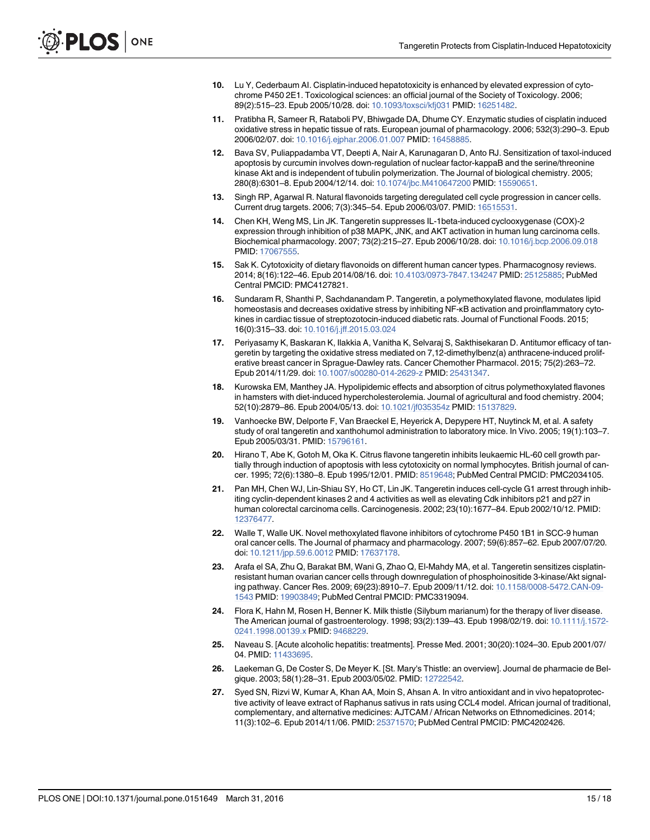- 10. Lu Y, Cederbaum AI. Cisplatin-induced hepatotoxicity is enhanced by elevated expression of cytochrome P450 2E1. Toxicological sciences: an official journal of the Society of Toxicology. 2006; 89(2):515–23. Epub 2005/10/28. doi: 10.1093/toxsci/kfj031 PMID: 16251482.
- 11. Pratibha R, Sameer R, Rataboli PV, Bhiwgade DA, Dhume CY. Enzymatic studies of cisplatin induced oxidative stress in hepatic tissue of rats. European journal of pharmacology. 2006; 532(3):290–3. Epub 2006/02/07. doi: 10.1016/j.ejphar.2006.01.007 PMID: 16458885.
- 12. Bava SV, Puliappadamba VT, Deepti A, Nair A, Karunagaran D, Anto RJ. Sensitization of taxol-induced apoptosis by curcumin involves down-regulation of nuclear factor-kappaB and the serine/threonine kinase Akt and is independent of tubulin polymerization. The Journal of biological chemistry. 2005; 280(8):6301–8. Epub 2004/12/14. doi: 10.1074/jbc.M410647200 PMID: 15590651.
- 13. Singh RP, Agarwal R. Natural flavonoids targeting deregulated cell cycle progression in cancer cells. Current drug targets. 2006; 7(3):345–54. Epub 2006/03/07. PMID: 16515531.
- 14. Chen KH, Weng MS, Lin JK. Tangeretin suppresses IL-1beta-induced cyclooxygenase (COX)-2 expression through inhibition of p38 MAPK, JNK, and AKT activation in human lung carcinoma cells. Biochemical pharmacology. 2007; 73(2):215–27. Epub 2006/10/28. doi: 10.1016/j.bcp.2006.09.018 PMID: 17067555.
- 15. Sak K. Cytotoxicity of dietary flavonoids on different human cancer types. Pharmacognosy reviews. 2014; 8(16):122–46. Epub 2014/08/16. doi: 10.4103/0973-7847.134247 PMID: 25125885; PubMed Central PMCID: PMC4127821.
- 16. Sundaram R, Shanthi P, Sachdanandam P. Tangeretin, a polymethoxylated flavone, modulates lipid homeostasis and decreases oxidative stress by inhibiting NF-κB activation and proinflammatory cytokines in cardiac tissue of streptozotocin-induced diabetic rats. Journal of Functional Foods. 2015; 16(0):315–33. doi: 10.1016/j.jff.2015.03.024
- 17. Periyasamy K, Baskaran K, Ilakkia A, Vanitha K, Selvaraj S, Sakthisekaran D. Antitumor efficacy of tangeretin by targeting the oxidative stress mediated on 7,12-dimethylbenz(a) anthracene-induced proliferative breast cancer in Sprague-Dawley rats. Cancer Chemother Pharmacol. 2015; 75(2):263–72. Epub 2014/11/29. doi: 10.1007/s00280-014-2629-z PMID: 25431347.
- 18. Kurowska EM, Manthey JA. Hypolipidemic effects and absorption of citrus polymethoxylated flavones in hamsters with diet-induced hypercholesterolemia. Journal of agricultural and food chemistry. 2004; 52(10):2879–86. Epub 2004/05/13. doi: 10.1021/jf035354z PMID: 15137829.
- 19. Vanhoecke BW, Delporte F, Van Braeckel E, Heyerick A, Depypere HT, Nuytinck M, et al. A safety study of oral tangeretin and xanthohumol administration to laboratory mice. In Vivo. 2005; 19(1):103–7. Epub 2005/03/31. PMID: 15796161.
- 20. Hirano T, Abe K, Gotoh M, Oka K. Citrus flavone tangeretin inhibits leukaemic HL-60 cell growth partially through induction of apoptosis with less cytotoxicity on normal lymphocytes. British journal of cancer. 1995; 72(6):1380–8. Epub 1995/12/01. PMID: 8519648; PubMed Central PMCID: PMC2034105.
- 21. Pan MH, Chen WJ, Lin-Shiau SY, Ho CT, Lin JK. Tangeretin induces cell-cycle G1 arrest through inhibiting cyclin-dependent kinases 2 and 4 activities as well as elevating Cdk inhibitors p21 and p27 in human colorectal carcinoma cells. Carcinogenesis. 2002; 23(10):1677–84. Epub 2002/10/12. PMID: 12376477.
- 22. Walle T, Walle UK. Novel methoxylated flavone inhibitors of cytochrome P450 1B1 in SCC-9 human oral cancer cells. The Journal of pharmacy and pharmacology. 2007; 59(6):857–62. Epub 2007/07/20. doi: 10.1211/jpp.59.6.0012 PMID: 17637178.
- 23. Arafa el SA, Zhu Q, Barakat BM, Wani G, Zhao Q, El-Mahdy MA, et al. Tangeretin sensitizes cisplatinresistant human ovarian cancer cells through downregulation of phosphoinositide 3-kinase/Akt signaling pathway. Cancer Res. 2009; 69(23):8910–7. Epub 2009/11/12. doi: 10.1158/0008-5472.CAN-09- 1543 PMID: 19903849; PubMed Central PMCID: PMC3319094.
- 24. Flora K, Hahn M, Rosen H, Benner K. Milk thistle (Silybum marianum) for the therapy of liver disease. The American journal of gastroenterology. 1998; 93(2):139–43. Epub 1998/02/19. doi: 10.1111/j.1572- 0241.1998.00139.x PMID: 9468229.
- 25. Naveau S. [Acute alcoholic hepatitis: treatments]. Presse Med. 2001; 30(20):1024–30. Epub 2001/07/ 04. PMID: 11433695.
- 26. Laekeman G, De Coster S, De Meyer K. [St. Mary's Thistle: an overview]. Journal de pharmacie de Belgique. 2003; 58(1):28–31. Epub 2003/05/02. PMID: 12722542.
- 27. Syed SN, Rizvi W, Kumar A, Khan AA, Moin S, Ahsan A. In vitro antioxidant and in vivo hepatoprotective activity of leave extract of Raphanus sativus in rats using CCL4 model. African journal of traditional, complementary, and alternative medicines: AJTCAM / African Networks on Ethnomedicines. 2014; 11(3):102–6. Epub 2014/11/06. PMID: 25371570; PubMed Central PMCID: PMC4202426.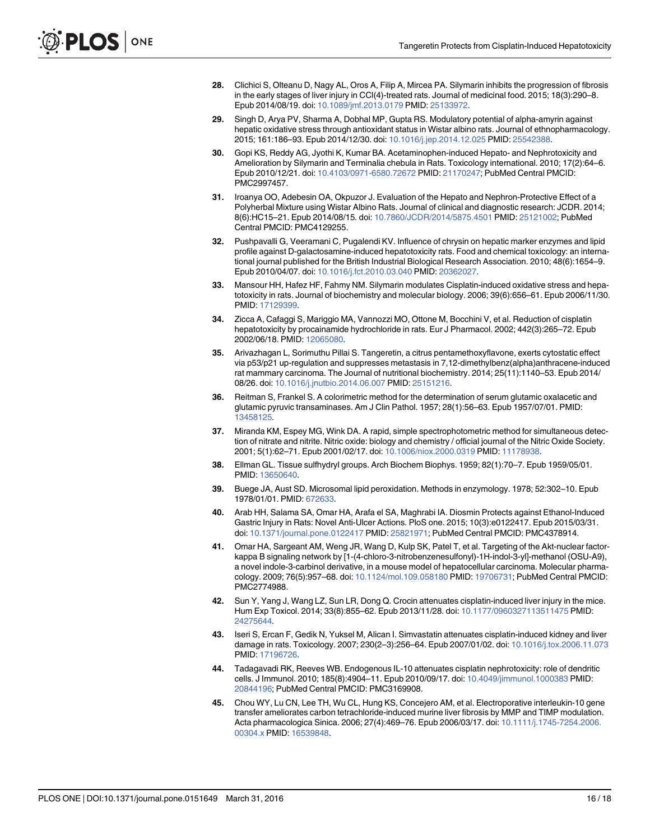- 28. Clichici S, Olteanu D, Nagy AL, Oros A, Filip A, Mircea PA. Silymarin inhibits the progression of fibrosis in the early stages of liver injury in CCl(4)-treated rats. Journal of medicinal food. 2015; 18(3):290–8. Epub 2014/08/19. doi: 10.1089/jmf.2013.0179 PMID: 25133972.
- 29. Singh D, Arya PV, Sharma A, Dobhal MP, Gupta RS. Modulatory potential of alpha-amyrin against hepatic oxidative stress through antioxidant status in Wistar albino rats. Journal of ethnopharmacology. 2015; 161:186–93. Epub 2014/12/30. doi: 10.1016/j.jep.2014.12.025 PMID: 25542388.
- 30. Gopi KS, Reddy AG, Jyothi K, Kumar BA. Acetaminophen-induced Hepato- and Nephrotoxicity and Amelioration by Silymarin and Terminalia chebula in Rats. Toxicology international. 2010; 17(2):64–6. Epub 2010/12/21. doi: 10.4103/0971-6580.72672 PMID: 21170247; PubMed Central PMCID: PMC2997457.
- 31. Iroanya OO, Adebesin OA, Okpuzor J. Evaluation of the Hepato and Nephron-Protective Effect of a Polyherbal Mixture using Wistar Albino Rats. Journal of clinical and diagnostic research: JCDR. 2014; 8(6):HC15–21. Epub 2014/08/15. doi: 10.7860/JCDR/2014/5875.4501 PMID: 25121002; PubMed Central PMCID: PMC4129255.
- 32. Pushpavalli G, Veeramani C, Pugalendi KV. Influence of chrysin on hepatic marker enzymes and lipid profile against D-galactosamine-induced hepatotoxicity rats. Food and chemical toxicology: an international journal published for the British Industrial Biological Research Association. 2010; 48(6):1654–9. Epub 2010/04/07. doi: 10.1016/j.fct.2010.03.040 PMID: 20362027.
- 33. Mansour HH, Hafez HF, Fahmy NM. Silymarin modulates Cisplatin-induced oxidative stress and hepatotoxicity in rats. Journal of biochemistry and molecular biology. 2006; 39(6):656–61. Epub 2006/11/30. PMID: 17129399.
- 34. Zicca A, Cafaggi S, Mariggio MA, Vannozzi MO, Ottone M, Bocchini V, et al. Reduction of cisplatin hepatotoxicity by procainamide hydrochloride in rats. Eur J Pharmacol. 2002; 442(3):265–72. Epub 2002/06/18. PMID: 12065080.
- 35. Arivazhagan L, Sorimuthu Pillai S. Tangeretin, a citrus pentamethoxyflavone, exerts cytostatic effect via p53/p21 up-regulation and suppresses metastasis in 7,12-dimethylbenz(alpha)anthracene-induced rat mammary carcinoma. The Journal of nutritional biochemistry. 2014; 25(11):1140–53. Epub 2014/ 08/26. doi: 10.1016/j.jnutbio.2014.06.007 PMID: 25151216.
- 36. Reitman S, Frankel S. A colorimetric method for the determination of serum glutamic oxalacetic and glutamic pyruvic transaminases. Am J Clin Pathol. 1957; 28(1):56–63. Epub 1957/07/01. PMID: 13458125.
- 37. Miranda KM, Espey MG, Wink DA. A rapid, simple spectrophotometric method for simultaneous detection of nitrate and nitrite. Nitric oxide: biology and chemistry / official journal of the Nitric Oxide Society. 2001; 5(1):62–71. Epub 2001/02/17. doi: 10.1006/niox.2000.0319 PMID: 11178938.
- 38. Ellman GL. Tissue sulfhydryl groups. Arch Biochem Biophys. 1959; 82(1):70–7. Epub 1959/05/01. PMID: 13650640.
- 39. Buege JA, Aust SD. Microsomal lipid peroxidation. Methods in enzymology. 1978; 52:302–10. Epub 1978/01/01. PMID: 672633.
- 40. Arab HH, Salama SA, Omar HA, Arafa el SA, Maghrabi IA. Diosmin Protects against Ethanol-Induced Gastric Injury in Rats: Novel Anti-Ulcer Actions. PloS one. 2015; 10(3):e0122417. Epub 2015/03/31. doi: 10.1371/journal.pone.0122417 PMID: 25821971; PubMed Central PMCID: PMC4378914.
- 41. Omar HA, Sargeant AM, Weng JR, Wang D, Kulp SK, Patel T, et al. Targeting of the Akt-nuclear factorkappa B signaling network by [1-(4-chloro-3-nitrobenzenesulfonyl)-1H-indol-3-yl]-methanol (OSU-A9), a novel indole-3-carbinol derivative, in a mouse model of hepatocellular carcinoma. Molecular pharmacology. 2009; 76(5):957–68. doi: 10.1124/mol.109.058180 PMID: 19706731; PubMed Central PMCID: PMC2774988.
- 42. Sun Y, Yang J, Wang LZ, Sun LR, Dong Q. Crocin attenuates cisplatin-induced liver injury in the mice. Hum Exp Toxicol. 2014; 33(8):855–62. Epub 2013/11/28. doi: 10.1177/0960327113511475 PMID: 24275644.
- 43. Iseri S, Ercan F, Gedik N, Yuksel M, Alican I. Simvastatin attenuates cisplatin-induced kidney and liver damage in rats. Toxicology. 2007; 230(2–3):256–64. Epub 2007/01/02. doi: 10.1016/j.tox.2006.11.073 PMID: 17196726.
- 44. Tadagavadi RK, Reeves WB. Endogenous IL-10 attenuates cisplatin nephrotoxicity: role of dendritic cells. J Immunol. 2010; 185(8):4904–11. Epub 2010/09/17. doi: 10.4049/jimmunol.1000383 PMID: 20844196; PubMed Central PMCID: PMC3169908.
- 45. Chou WY, Lu CN, Lee TH, Wu CL, Hung KS, Concejero AM, et al. Electroporative interleukin-10 gene transfer ameliorates carbon tetrachloride-induced murine liver fibrosis by MMP and TIMP modulation. Acta pharmacologica Sinica. 2006; 27(4):469–76. Epub 2006/03/17. doi: 10.1111/j.1745-7254.2006. 00304.x PMID: 16539848.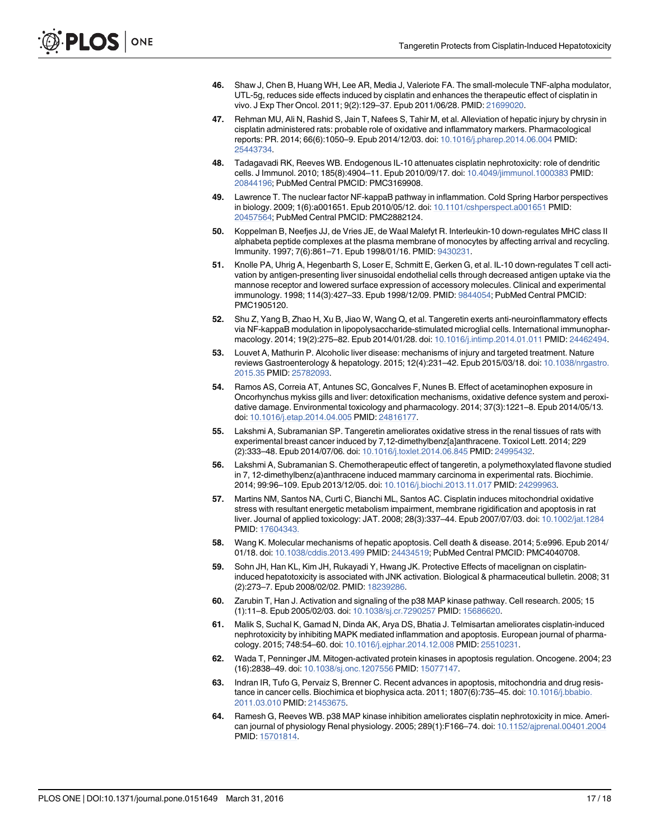- 46. Shaw J, Chen B, Huang WH, Lee AR, Media J, Valeriote FA. The small-molecule TNF-alpha modulator, UTL-5g, reduces side effects induced by cisplatin and enhances the therapeutic effect of cisplatin in vivo. J Exp Ther Oncol. 2011; 9(2):129–37. Epub 2011/06/28. PMID: 21699020.
- 47. Rehman MU, Ali N, Rashid S, Jain T, Nafees S, Tahir M, et al. Alleviation of hepatic injury by chrysin in cisplatin administered rats: probable role of oxidative and inflammatory markers. Pharmacological reports: PR. 2014; 66(6):1050–9. Epub 2014/12/03. doi: 10.1016/j.pharep.2014.06.004 PMID: 25443734.
- 48. Tadagavadi RK, Reeves WB. Endogenous IL-10 attenuates cisplatin nephrotoxicity: role of dendritic cells. J Immunol. 2010; 185(8):4904–11. Epub 2010/09/17. doi: 10.4049/jimmunol.1000383 PMID: 20844196; PubMed Central PMCID: PMC3169908.
- 49. Lawrence T. The nuclear factor NF-kappaB pathway in inflammation. Cold Spring Harbor perspectives in biology. 2009; 1(6):a001651. Epub 2010/05/12. doi: 10.1101/cshperspect.a001651 PMID: 20457564; PubMed Central PMCID: PMC2882124.
- 50. Koppelman B, Neefjes JJ, de Vries JE, de Waal Malefyt R. Interleukin-10 down-regulates MHC class II alphabeta peptide complexes at the plasma membrane of monocytes by affecting arrival and recycling. Immunity. 1997; 7(6):861–71. Epub 1998/01/16. PMID: 9430231.
- 51. Knolle PA, Uhrig A, Hegenbarth S, Loser E, Schmitt E, Gerken G, et al. IL-10 down-regulates T cell activation by antigen-presenting liver sinusoidal endothelial cells through decreased antigen uptake via the mannose receptor and lowered surface expression of accessory molecules. Clinical and experimental immunology. 1998; 114(3):427–33. Epub 1998/12/09. PMID: 9844054; PubMed Central PMCID: PMC1905120.
- 52. Shu Z, Yang B, Zhao H, Xu B, Jiao W, Wang Q, et al. Tangeretin exerts anti-neuroinflammatory effects via NF-kappaB modulation in lipopolysaccharide-stimulated microglial cells. International immunopharmacology. 2014; 19(2):275–82. Epub 2014/01/28. doi: 10.1016/j.intimp.2014.01.011 PMID: 24462494.
- 53. Louvet A, Mathurin P. Alcoholic liver disease: mechanisms of injury and targeted treatment. Nature reviews Gastroenterology & hepatology. 2015; 12(4):231–42. Epub 2015/03/18. doi: 10.1038/nrgastro. 2015.35 PMID: 25782093.
- 54. Ramos AS, Correia AT, Antunes SC, Goncalves F, Nunes B. Effect of acetaminophen exposure in Oncorhynchus mykiss gills and liver: detoxification mechanisms, oxidative defence system and peroxidative damage. Environmental toxicology and pharmacology. 2014; 37(3):1221–8. Epub 2014/05/13. doi: 10.1016/j.etap.2014.04.005 PMID: 24816177.
- 55. Lakshmi A, Subramanian SP. Tangeretin ameliorates oxidative stress in the renal tissues of rats with experimental breast cancer induced by 7,12-dimethylbenz[a]anthracene. Toxicol Lett. 2014; 229 (2):333–48. Epub 2014/07/06. doi: 10.1016/j.toxlet.2014.06.845 PMID: 24995432.
- 56. Lakshmi A, Subramanian S. Chemotherapeutic effect of tangeretin, a polymethoxylated flavone studied in 7, 12-dimethylbenz(a)anthracene induced mammary carcinoma in experimental rats. Biochimie. 2014; 99:96–109. Epub 2013/12/05. doi: 10.1016/j.biochi.2013.11.017 PMID: 24299963.
- 57. Martins NM, Santos NA, Curti C, Bianchi ML, Santos AC. Cisplatin induces mitochondrial oxidative stress with resultant energetic metabolism impairment, membrane rigidification and apoptosis in rat liver. Journal of applied toxicology: JAT. 2008; 28(3):337–44. Epub 2007/07/03. doi: 10.1002/jat.1284 PMID: 17604343.
- 58. Wang K. Molecular mechanisms of hepatic apoptosis. Cell death & disease. 2014; 5:e996. Epub 2014/ 01/18. doi: 10.1038/cddis.2013.499 PMID: 24434519; PubMed Central PMCID: PMC4040708.
- 59. Sohn JH, Han KL, Kim JH, Rukayadi Y, Hwang JK. Protective Effects of macelignan on cisplatininduced hepatotoxicity is associated with JNK activation. Biological & pharmaceutical bulletin. 2008; 31 (2):273–7. Epub 2008/02/02. PMID: 18239286.
- 60. Zarubin T, Han J. Activation and signaling of the p38 MAP kinase pathway. Cell research. 2005; 15 (1):11–8. Epub 2005/02/03. doi: 10.1038/sj.cr.7290257 PMID: 15686620.
- 61. Malik S, Suchal K, Gamad N, Dinda AK, Arya DS, Bhatia J. Telmisartan ameliorates cisplatin-induced nephrotoxicity by inhibiting MAPK mediated inflammation and apoptosis. European journal of pharmacology. 2015; 748:54–60. doi: 10.1016/j.ejphar.2014.12.008 PMID: 25510231.
- 62. Wada T, Penninger JM. Mitogen-activated protein kinases in apoptosis regulation. Oncogene. 2004; 23 (16):2838–49. doi: 10.1038/sj.onc.1207556 PMID: 15077147.
- 63. Indran IR, Tufo G, Pervaiz S, Brenner C. Recent advances in apoptosis, mitochondria and drug resistance in cancer cells. Biochimica et biophysica acta. 2011; 1807(6):735–45. doi: 10.1016/j.bbabio. 2011.03.010 PMID: 21453675.
- 64. Ramesh G, Reeves WB. p38 MAP kinase inhibition ameliorates cisplatin nephrotoxicity in mice. American journal of physiology Renal physiology. 2005; 289(1):F166–74. doi: 10.1152/ajprenal.00401.2004 PMID: 15701814.